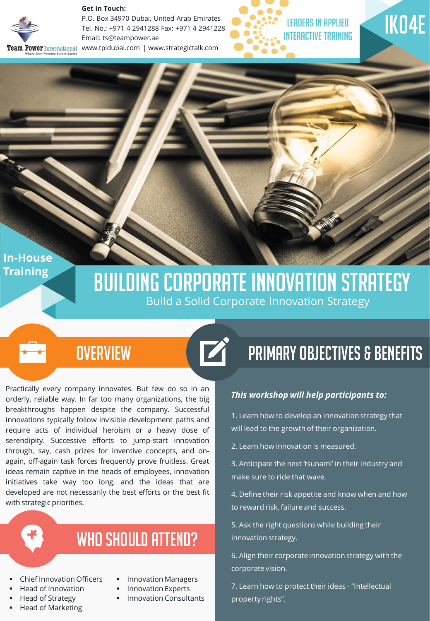

**Get in Touch:** 

P.O. Box 34970 Dubai, United Arab Emirates Tel. No.: +971 4 2941288 Fax: +971 4 2941228 Email: ts@teampower.ae Team Power International www.tpidubai.com | www.strategictalk.com





**In-House Training** 

## Building Corporate Innovation Strategy Build a Solid Corporate Innovation Strategy

 $\blacktriangleright$ 

### **OVERVIEW**

Practically every company innovates. But few do so in an orderly, reliable way. In far too many organizations, the big breakthroughs happen despite the company. Successful innovations typically follow invisible development paths and require acts of individual heroism or a heavy dose of serendipity. Successive efforts to jump-start innovation through, say, cash prizes for inventive concepts, and onagain, off-again task forces frequently prove fruitless. Great ideas remain captive in the heads of employees, innovation initiatives take way too long, and the ideas that are developed are not necessarily the best efforts or the best fit with strategic priorities.

## WHO SHOULD ATTEND?

- Chief Innovation Officers
- Head of Innovation
- Head of Strategy
- Head of Marketing
- Innovation Managers
- Innovation Experts
- Innovation Consultants

# Primary Objectives & Benefits

#### *This workshop will help participants to:*

1. Learn how to develop an innovation strategy that will lead to the growth of their organization.

2. Learn how innovation is measured.

3. Anticipate the next 'tsunami' in their industry and make sure to ride that wave.

4. Define their risk appetite and know when and how to reward risk, failure and success.

5. Ask the right questions while building their innovation strategy.

6. Align their corporate innovation strategy with the corporate vision.

7. Learn how to protect their ideas - "Intellectual property rights".